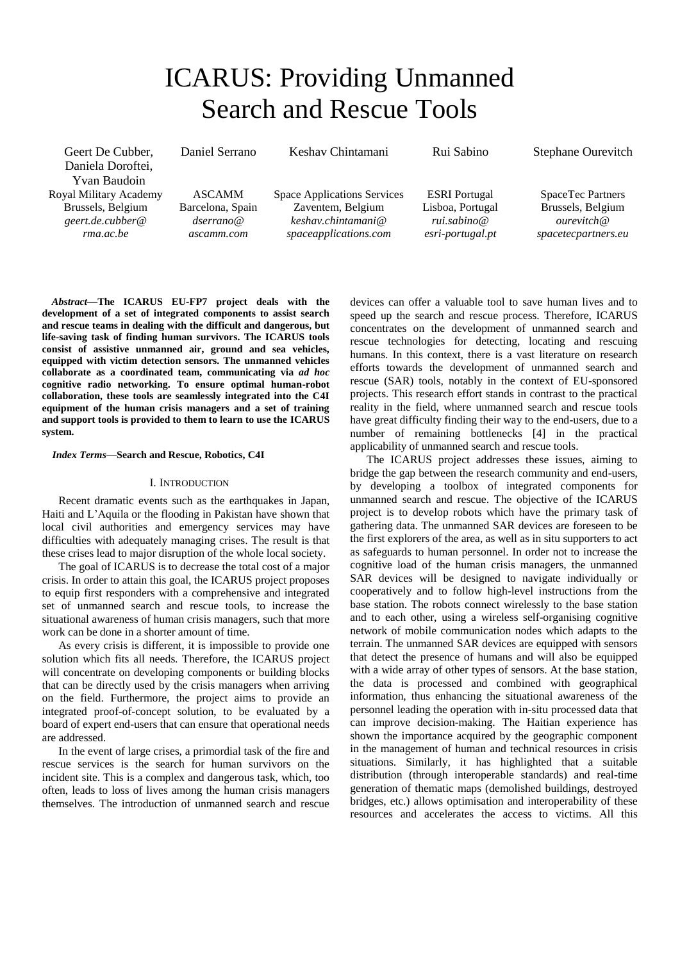# ICARUS: Providing Unmanned Search and Rescue Tools

Keshav Chintamani

Geert De Cubber, Daniela Doroftei, Yvan Baudoin Royal Military Academy Brussels, Belgium *[geert.de.cubber@](mailto:geert.de.cubber@%20%20%20rma.ac.be)  [rma.ac.be](mailto:geert.de.cubber@%20%20%20rma.ac.be)*

ASCAMM Barcelona, Spain *dserrano@ ascamm.com*

Daniel Serrano

Space Applications Services Zaventem, Belgium *keshav.chintamani@ spaceapplications.com*

ESRI Portugal Lisboa, Portugal *rui.sabino@ esri-portugal.pt*

Rui Sabino

Stephane Ourevitch

SpaceTec Partners Brussels, Belgium *ourevitch@ spacetecpartners.eu*

*Abstract***—The ICARUS EU-FP7 project deals with the development of a set of integrated components to assist search and rescue teams in dealing with the difficult and dangerous, but life-saving task of finding human survivors. The ICARUS tools consist of assistive unmanned air, ground and sea vehicles, equipped with victim detection sensors. The unmanned vehicles collaborate as a coordinated team, communicating via** *ad hoc* **cognitive radio networking. To ensure optimal human-robot collaboration, these tools are seamlessly integrated into the C4I equipment of the human crisis managers and a set of training and support tools is provided to them to learn to use the ICARUS system.**

## *Index Terms***—Search and Rescue, Robotics, C4I**

#### I. INTRODUCTION

Recent dramatic events such as the earthquakes in Japan, Haiti and L'Aquila or the flooding in Pakistan have shown that local civil authorities and emergency services may have difficulties with adequately managing crises. The result is that these crises lead to major disruption of the whole local society.

The goal of ICARUS is to decrease the total cost of a major crisis. In order to attain this goal, the ICARUS project proposes to equip first responders with a comprehensive and integrated set of unmanned search and rescue tools, to increase the situational awareness of human crisis managers, such that more work can be done in a shorter amount of time.

As every crisis is different, it is impossible to provide one solution which fits all needs. Therefore, the ICARUS project will concentrate on developing components or building blocks that can be directly used by the crisis managers when arriving on the field. Furthermore, the project aims to provide an integrated proof-of-concept solution, to be evaluated by a board of expert end-users that can ensure that operational needs are addressed.

In the event of large crises, a primordial task of the fire and rescue services is the search for human survivors on the incident site. This is a complex and dangerous task, which, too often, leads to loss of lives among the human crisis managers themselves. The introduction of unmanned search and rescue

devices can offer a valuable tool to save human lives and to speed up the search and rescue process. Therefore, ICARUS concentrates on the development of unmanned search and rescue technologies for detecting, locating and rescuing humans. In this context, there is a vast literature on research efforts towards the development of unmanned search and rescue (SAR) tools, notably in the context of EU-sponsored projects. This research effort stands in contrast to the practical reality in the field, where unmanned search and rescue tools have great difficulty finding their way to the end-users, due to a number of remaining bottlenecks [4] in the practical applicability of unmanned search and rescue tools.

The ICARUS project addresses these issues, aiming to bridge the gap between the research community and end-users, by developing a toolbox of integrated components for unmanned search and rescue. The objective of the ICARUS project is to develop robots which have the primary task of gathering data. The unmanned SAR devices are foreseen to be the first explorers of the area, as well as in situ supporters to act as safeguards to human personnel. In order not to increase the cognitive load of the human crisis managers, the unmanned SAR devices will be designed to navigate individually or cooperatively and to follow high-level instructions from the base station. The robots connect wirelessly to the base station and to each other, using a wireless self-organising cognitive network of mobile communication nodes which adapts to the terrain. The unmanned SAR devices are equipped with sensors that detect the presence of humans and will also be equipped with a wide array of other types of sensors. At the base station, the data is processed and combined with geographical information, thus enhancing the situational awareness of the personnel leading the operation with in-situ processed data that can improve decision-making. The Haitian experience has shown the importance acquired by the geographic component in the management of human and technical resources in crisis situations. Similarly, it has highlighted that a suitable distribution (through interoperable standards) and real-time generation of thematic maps (demolished buildings, destroyed bridges, etc.) allows optimisation and interoperability of these resources and accelerates the access to victims. All this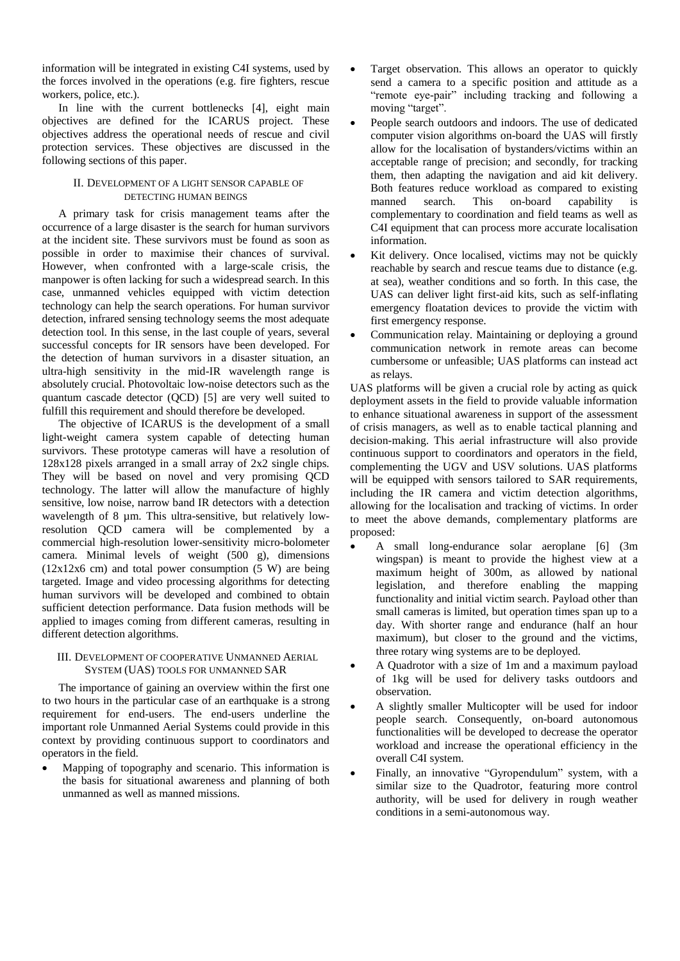information will be integrated in existing C4I systems, used by the forces involved in the operations (e.g. fire fighters, rescue workers, police, etc.).

In line with the current bottlenecks [4], eight main objectives are defined for the ICARUS project. These objectives address the operational needs of rescue and civil protection services. These objectives are discussed in the following sections of this paper.

# II. DEVELOPMENT OF A LIGHT SENSOR CAPABLE OF DETECTING HUMAN BEINGS

A primary task for crisis management teams after the occurrence of a large disaster is the search for human survivors at the incident site. These survivors must be found as soon as possible in order to maximise their chances of survival. However, when confronted with a large-scale crisis, the manpower is often lacking for such a widespread search. In this case, unmanned vehicles equipped with victim detection technology can help the search operations. For human survivor detection, infrared sensing technology seems the most adequate detection tool. In this sense, in the last couple of years, several successful concepts for IR sensors have been developed. For the detection of human survivors in a disaster situation, an ultra-high sensitivity in the mid-IR wavelength range is absolutely crucial. Photovoltaic low-noise detectors such as the quantum cascade detector (QCD) [5] are very well suited to fulfill this requirement and should therefore be developed.

The objective of ICARUS is the development of a small light-weight camera system capable of detecting human survivors. These prototype cameras will have a resolution of 128x128 pixels arranged in a small array of 2x2 single chips. They will be based on novel and very promising QCD technology. The latter will allow the manufacture of highly sensitive, low noise, narrow band IR detectors with a detection wavelength of 8  $\mu$ m. This ultra-sensitive, but relatively lowresolution QCD camera will be complemented by a commercial high-resolution lower-sensitivity micro-bolometer camera. Minimal levels of weight (500 g), dimensions  $(12x12x6$  cm) and total power consumption  $(5 W)$  are being targeted. Image and video processing algorithms for detecting human survivors will be developed and combined to obtain sufficient detection performance. Data fusion methods will be applied to images coming from different cameras, resulting in different detection algorithms.

## III. DEVELOPMENT OF COOPERATIVE UNMANNED AERIAL SYSTEM (UAS) TOOLS FOR UNMANNED SAR

The importance of gaining an overview within the first one to two hours in the particular case of an earthquake is a strong requirement for end-users. The end-users underline the important role Unmanned Aerial Systems could provide in this context by providing continuous support to coordinators and operators in the field.

 Mapping of topography and scenario. This information is the basis for situational awareness and planning of both unmanned as well as manned missions.

- Target observation. This allows an operator to quickly send a camera to a specific position and attitude as a "remote eye-pair" including tracking and following a moving "target".
- People search outdoors and indoors. The use of dedicated computer vision algorithms on-board the UAS will firstly allow for the localisation of bystanders/victims within an acceptable range of precision; and secondly, for tracking them, then adapting the navigation and aid kit delivery. Both features reduce workload as compared to existing manned search. This on-board capability is complementary to coordination and field teams as well as C4I equipment that can process more accurate localisation information.
- Kit delivery. Once localised, victims may not be quickly reachable by search and rescue teams due to distance (e.g. at sea), weather conditions and so forth. In this case, the UAS can deliver light first-aid kits, such as self-inflating emergency floatation devices to provide the victim with first emergency response.
- Communication relay. Maintaining or deploying a ground communication network in remote areas can become cumbersome or unfeasible; UAS platforms can instead act as relays.

UAS platforms will be given a crucial role by acting as quick deployment assets in the field to provide valuable information to enhance situational awareness in support of the assessment of crisis managers, as well as to enable tactical planning and decision-making. This aerial infrastructure will also provide continuous support to coordinators and operators in the field, complementing the UGV and USV solutions. UAS platforms will be equipped with sensors tailored to SAR requirements, including the IR camera and victim detection algorithms, allowing for the localisation and tracking of victims. In order to meet the above demands, complementary platforms are proposed:

- A small long-endurance solar aeroplane [6] (3m wingspan) is meant to provide the highest view at a maximum height of 300m, as allowed by national legislation, and therefore enabling the mapping functionality and initial victim search. Payload other than small cameras is limited, but operation times span up to a day. With shorter range and endurance (half an hour maximum), but closer to the ground and the victims, three rotary wing systems are to be deployed.
- A Quadrotor with a size of 1m and a maximum payload of 1kg will be used for delivery tasks outdoors and observation.
- A slightly smaller Multicopter will be used for indoor people search. Consequently, on-board autonomous functionalities will be developed to decrease the operator workload and increase the operational efficiency in the overall C4I system.
- Finally, an innovative "Gyropendulum" system, with a similar size to the Quadrotor, featuring more control authority, will be used for delivery in rough weather conditions in a semi-autonomous way.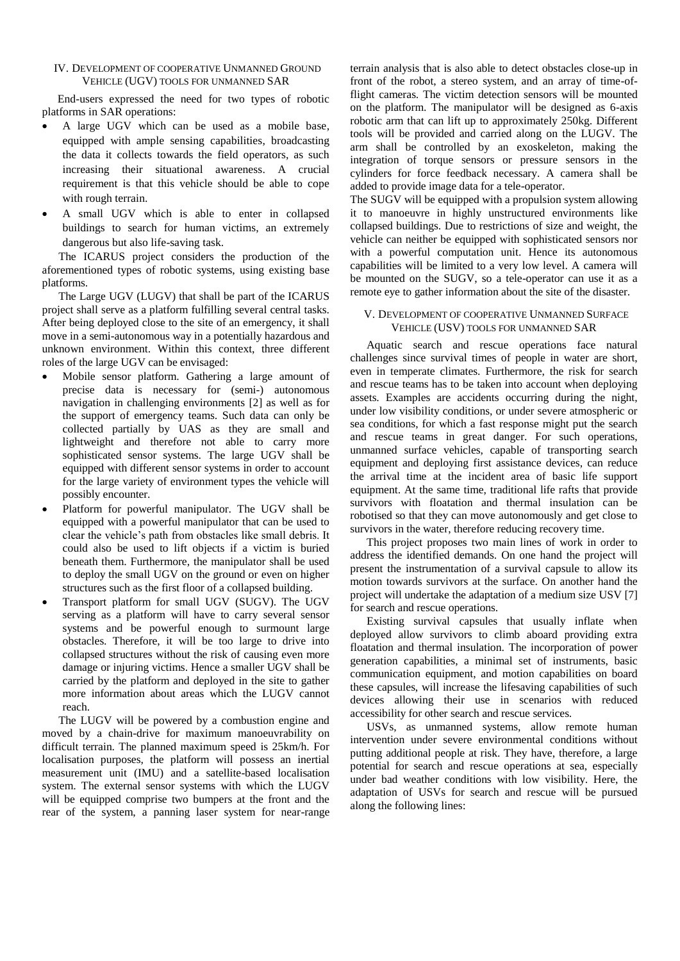# IV. DEVELOPMENT OF COOPERATIVE UNMANNED GROUND VEHICLE (UGV) TOOLS FOR UNMANNED SAR

End-users expressed the need for two types of robotic platforms in SAR operations:

- A large UGV which can be used as a mobile base, equipped with ample sensing capabilities, broadcasting the data it collects towards the field operators, as such increasing their situational awareness. A crucial requirement is that this vehicle should be able to cope with rough terrain.
- A small UGV which is able to enter in collapsed buildings to search for human victims, an extremely dangerous but also life-saving task.

The ICARUS project considers the production of the aforementioned types of robotic systems, using existing base platforms.

The Large UGV (LUGV) that shall be part of the ICARUS project shall serve as a platform fulfilling several central tasks. After being deployed close to the site of an emergency, it shall move in a semi-autonomous way in a potentially hazardous and unknown environment. Within this context, three different roles of the large UGV can be envisaged:

- Mobile sensor platform. Gathering a large amount of precise data is necessary for (semi-) autonomous navigation in challenging environments [2] as well as for the support of emergency teams. Such data can only be collected partially by UAS as they are small and lightweight and therefore not able to carry more sophisticated sensor systems. The large UGV shall be equipped with different sensor systems in order to account for the large variety of environment types the vehicle will possibly encounter.
- Platform for powerful manipulator. The UGV shall be equipped with a powerful manipulator that can be used to clear the vehicle's path from obstacles like small debris. It could also be used to lift objects if a victim is buried beneath them. Furthermore, the manipulator shall be used to deploy the small UGV on the ground or even on higher structures such as the first floor of a collapsed building.
- Transport platform for small UGV (SUGV). The UGV serving as a platform will have to carry several sensor systems and be powerful enough to surmount large obstacles. Therefore, it will be too large to drive into collapsed structures without the risk of causing even more damage or injuring victims. Hence a smaller UGV shall be carried by the platform and deployed in the site to gather more information about areas which the LUGV cannot reach.

The LUGV will be powered by a combustion engine and moved by a chain-drive for maximum manoeuvrability on difficult terrain. The planned maximum speed is 25km/h. For localisation purposes, the platform will possess an inertial measurement unit (IMU) and a satellite-based localisation system. The external sensor systems with which the LUGV will be equipped comprise two bumpers at the front and the rear of the system, a panning laser system for near-range

terrain analysis that is also able to detect obstacles close-up in front of the robot, a stereo system, and an array of time-offlight cameras. The victim detection sensors will be mounted on the platform. The manipulator will be designed as 6-axis robotic arm that can lift up to approximately 250kg. Different tools will be provided and carried along on the LUGV. The arm shall be controlled by an exoskeleton, making the integration of torque sensors or pressure sensors in the cylinders for force feedback necessary. A camera shall be added to provide image data for a tele-operator.

The SUGV will be equipped with a propulsion system allowing it to manoeuvre in highly unstructured environments like collapsed buildings. Due to restrictions of size and weight, the vehicle can neither be equipped with sophisticated sensors nor with a powerful computation unit. Hence its autonomous capabilities will be limited to a very low level. A camera will be mounted on the SUGV, so a tele-operator can use it as a remote eye to gather information about the site of the disaster.

## V. DEVELOPMENT OF COOPERATIVE UNMANNED SURFACE VEHICLE (USV) TOOLS FOR UNMANNED SAR

Aquatic search and rescue operations face natural challenges since survival times of people in water are short, even in temperate climates. Furthermore, the risk for search and rescue teams has to be taken into account when deploying assets. Examples are accidents occurring during the night, under low visibility conditions, or under severe atmospheric or sea conditions, for which a fast response might put the search and rescue teams in great danger. For such operations, unmanned surface vehicles, capable of transporting search equipment and deploying first assistance devices, can reduce the arrival time at the incident area of basic life support equipment. At the same time, traditional life rafts that provide survivors with floatation and thermal insulation can be robotised so that they can move autonomously and get close to survivors in the water, therefore reducing recovery time.

This project proposes two main lines of work in order to address the identified demands. On one hand the project will present the instrumentation of a survival capsule to allow its motion towards survivors at the surface. On another hand the project will undertake the adaptation of a medium size USV [7] for search and rescue operations.

Existing survival capsules that usually inflate when deployed allow survivors to climb aboard providing extra floatation and thermal insulation. The incorporation of power generation capabilities, a minimal set of instruments, basic communication equipment, and motion capabilities on board these capsules, will increase the lifesaving capabilities of such devices allowing their use in scenarios with reduced accessibility for other search and rescue services.

USVs, as unmanned systems, allow remote human intervention under severe environmental conditions without putting additional people at risk. They have, therefore, a large potential for search and rescue operations at sea, especially under bad weather conditions with low visibility. Here, the adaptation of USVs for search and rescue will be pursued along the following lines: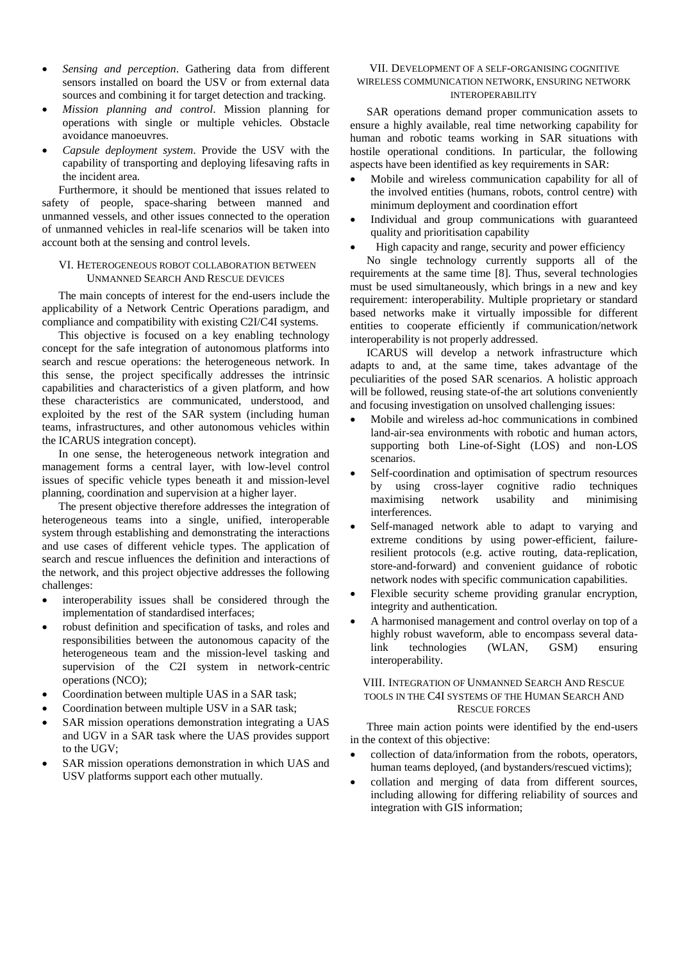- *Sensing and perception*. Gathering data from different sensors installed on board the USV or from external data sources and combining it for target detection and tracking.
- *Mission planning and control*. Mission planning for operations with single or multiple vehicles. Obstacle avoidance manoeuvres.
- *Capsule deployment system*. Provide the USV with the capability of transporting and deploying lifesaving rafts in the incident area.

Furthermore, it should be mentioned that issues related to safety of people, space-sharing between manned and unmanned vessels, and other issues connected to the operation of unmanned vehicles in real-life scenarios will be taken into account both at the sensing and control levels.

#### VI. HETEROGENEOUS ROBOT COLLABORATION BETWEEN UNMANNED SEARCH AND RESCUE DEVICES

The main concepts of interest for the end-users include the applicability of a Network Centric Operations paradigm, and compliance and compatibility with existing C2I/C4I systems.

This objective is focused on a key enabling technology concept for the safe integration of autonomous platforms into search and rescue operations: the heterogeneous network. In this sense, the project specifically addresses the intrinsic capabilities and characteristics of a given platform, and how these characteristics are communicated, understood, and exploited by the rest of the SAR system (including human teams, infrastructures, and other autonomous vehicles within the ICARUS integration concept).

In one sense, the heterogeneous network integration and management forms a central layer, with low-level control issues of specific vehicle types beneath it and mission-level planning, coordination and supervision at a higher layer.

The present objective therefore addresses the integration of heterogeneous teams into a single, unified, interoperable system through establishing and demonstrating the interactions and use cases of different vehicle types. The application of search and rescue influences the definition and interactions of the network, and this project objective addresses the following challenges:

- interoperability issues shall be considered through the implementation of standardised interfaces;
- robust definition and specification of tasks, and roles and responsibilities between the autonomous capacity of the heterogeneous team and the mission-level tasking and supervision of the C2I system in network-centric operations (NCO);
- Coordination between multiple UAS in a SAR task;
- Coordination between multiple USV in a SAR task;
- SAR mission operations demonstration integrating a UAS and UGV in a SAR task where the UAS provides support to the UGV;
- SAR mission operations demonstration in which UAS and USV platforms support each other mutually.

# VII. DEVELOPMENT OF A SELF-ORGANISING COGNITIVE WIRELESS COMMUNICATION NETWORK, ENSURING NETWORK INTEROPERABILITY

SAR operations demand proper communication assets to ensure a highly available, real time networking capability for human and robotic teams working in SAR situations with hostile operational conditions. In particular, the following aspects have been identified as key requirements in SAR:

- Mobile and wireless communication capability for all of the involved entities (humans, robots, control centre) with minimum deployment and coordination effort
- Individual and group communications with guaranteed quality and prioritisation capability
- High capacity and range, security and power efficiency

No single technology currently supports all of the requirements at the same time [8]. Thus, several technologies must be used simultaneously, which brings in a new and key requirement: interoperability. Multiple proprietary or standard based networks make it virtually impossible for different entities to cooperate efficiently if communication/network interoperability is not properly addressed.

ICARUS will develop a network infrastructure which adapts to and, at the same time, takes advantage of the peculiarities of the posed SAR scenarios. A holistic approach will be followed, reusing state-of-the art solutions conveniently and focusing investigation on unsolved challenging issues:

- Mobile and wireless ad-hoc communications in combined land-air-sea environments with robotic and human actors, supporting both Line-of-Sight (LOS) and non-LOS scenarios.
- Self-coordination and optimisation of spectrum resources by using cross-layer cognitive radio techniques maximising network usability and minimising interferences.
- Self-managed network able to adapt to varying and extreme conditions by using power-efficient, failureresilient protocols (e.g. active routing, data-replication, store-and-forward) and convenient guidance of robotic network nodes with specific communication capabilities.
- Flexible security scheme providing granular encryption, integrity and authentication.
- A harmonised management and control overlay on top of a highly robust waveform, able to encompass several datalink technologies (WLAN, GSM) ensuring interoperability.

# VIII. INTEGRATION OF UNMANNED SEARCH AND RESCUE TOOLS IN THE C4I SYSTEMS OF THE HUMAN SEARCH AND RESCUE FORCES

Three main action points were identified by the end-users in the context of this objective:

- collection of data/information from the robots, operators, human teams deployed, (and bystanders/rescued victims);
- collation and merging of data from different sources, including allowing for differing reliability of sources and integration with GIS information;